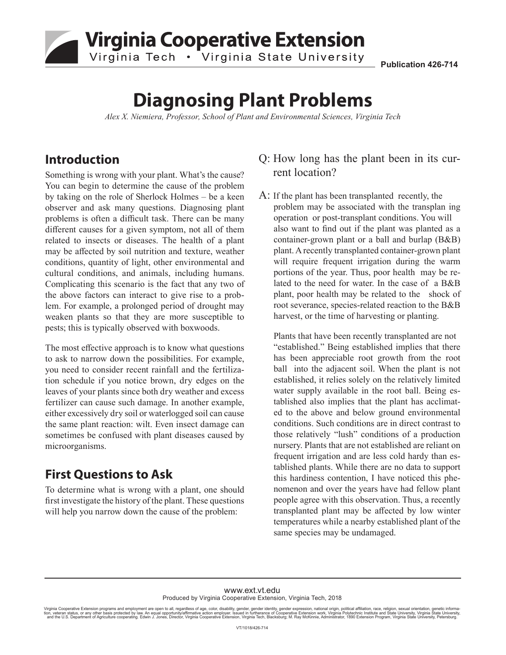# **Virginia Cooperative Extension** Virginia Tech . Virginia State University

**Publication 426-714**

# **Diagnosing Plant Problems**

*Alex X. Niemiera, Professor, School of Plant and Environmental Sciences, Virginia Tech* 

## **Introduction**

Something is wrong with your plant. What's the cause? You can begin to determine the cause of the problem by taking on the role of Sherlock Holmes – be a keen observer and ask many questions. Diagnosing plant problems is often a difficult task. There can be many different causes for a given symptom, not all of them related to insects or diseases. The health of a plant may be affected by soil nutrition and texture, weather conditions, quantity of light, other environmental and cultural conditions, and animals, including humans. Complicating this scenario is the fact that any two of the above factors can interact to give rise to a problem. For example, a prolonged period of drought may weaken plants so that they are more susceptible to pests; this is typically observed with boxwoods.

The most effective approach is to know what questions to ask to narrow down the possibilities. For example, you need to consider recent rainfall and the fertilization schedule if you notice brown, dry edges on the leaves of your plants since both dry weather and excess fertilizer can cause such damage. In another example, either excessively dry soil or waterlogged soil can cause the same plant reaction: wilt. Even insect damage can sometimes be confused with plant diseases caused by microorganisms.

# **First Questions to Ask**

To determine what is wrong with a plant, one should first investigate the history of the plant. These questions will help you narrow down the cause of the problem:

#### Q: How long has the plant been in its current location?

A: If the plant has been transplanted recently, the problem may be associated with the transplan ing operation or post-transplant conditions. You will also want to find out if the plant was planted as a container-grown plant or a ball and burlap (B&B) plant. A recently transplanted container-grown plant will require frequent irrigation during the warm portions of the year. Thus, poor health may be related to the need for water. In the case of a B&B plant, poor health may be related to the shock of root severance, species-related reaction to the B&B harvest, or the time of harvesting or planting.

Plants that have been recently transplanted are not "established." Being established implies that there has been appreciable root growth from the root ball into the adjacent soil. When the plant is not established, it relies solely on the relatively limited water supply available in the root ball. Being established also implies that the plant has acclimated to the above and below ground environmental conditions. Such conditions are in direct contrast to those relatively "lush" conditions of a production nursery. Plants that are not established are reliant on frequent irrigation and are less cold hardy than established plants. While there are no data to support this hardiness contention, I have noticed this phenomenon and over the years have had fellow plant people agree with this observation. Thus, a recently transplanted plant may be affected by low winter temperatures while a nearby established plant of the same species may be undamaged.

#### www.ext.vt.edu Produced by Virginia Cooperative Extension, Virginia Tech, 2018

Virginia Cooperative Extension programs and employment are open to all, regardless of age, color, disability, gender, gender identity, gender expression, national origin, political affiliation, race, religion, sexual orien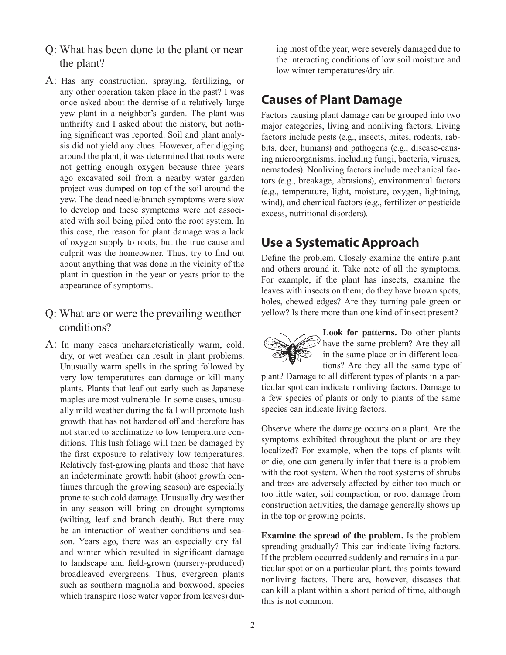- Q: What has been done to the plant or near the plant?
- A: Has any construction, spraying, fertilizing, or any other operation taken place in the past? I was once asked about the demise of a relatively large yew plant in a neighbor's garden. The plant was unthrifty and I asked about the history, but nothing significant was reported. Soil and plant analysis did not yield any clues. However, after digging around the plant, it was determined that roots were not getting enough oxygen because three years ago excavated soil from a nearby water garden project was dumped on top of the soil around the yew. The dead needle/branch symptoms were slow to develop and these symptoms were not associated with soil being piled onto the root system. In this case, the reason for plant damage was a lack of oxygen supply to roots, but the true cause and culprit was the homeowner. Thus, try to find out about anything that was done in the vicinity of the plant in question in the year or years prior to the appearance of symptoms.

#### Q: What are or were the prevailing weather conditions?

A: In many cases uncharacteristically warm, cold, dry, or wet weather can result in plant problems. Unusually warm spells in the spring followed by very low temperatures can damage or kill many plants. Plants that leaf out early such as Japanese maples are most vulnerable. In some cases, unusually mild weather during the fall will promote lush growth that has not hardened off and therefore has not started to acclimatize to low temperature conditions. This lush foliage will then be damaged by the first exposure to relatively low temperatures. Relatively fast-growing plants and those that have an indeterminate growth habit (shoot growth continues through the growing season) are especially prone to such cold damage. Unusually dry weather in any season will bring on drought symptoms (wilting, leaf and branch death). But there may be an interaction of weather conditions and season. Years ago, there was an especially dry fall and winter which resulted in significant damage to landscape and field-grown (nursery-produced) broadleaved evergreens. Thus, evergreen plants such as southern magnolia and boxwood, species which transpire (lose water vapor from leaves) during most of the year, were severely damaged due to the interacting conditions of low soil moisture and low winter temperatures/dry air.

# **Causes of Plant Damage**

Factors causing plant damage can be grouped into two major categories, living and nonliving factors. Living factors include pests (e.g., insects, mites, rodents, rabbits, deer, humans) and pathogens (e.g., disease-causing microorganisms, including fungi, bacteria, viruses, nematodes). Nonliving factors include mechanical factors (e.g., breakage, abrasions), environmental factors (e.g., temperature, light, moisture, oxygen, lightning, wind), and chemical factors (e.g., fertilizer or pesticide excess, nutritional disorders).

# **Use a Systematic Approach**

Define the problem. Closely examine the entire plant and others around it. Take note of all the symptoms. For example, if the plant has insects, examine the leaves with insects on them; do they have brown spots, holes, chewed edges? Are they turning pale green or yellow? Is there more than one kind of insect present?



**Look for patterns.** Do other plants have the same problem? Are they all in the same place or in different locations? Are they all the same type of

plant? Damage to all different types of plants in a particular spot can indicate nonliving factors. Damage to a few species of plants or only to plants of the same species can indicate living factors.

Observe where the damage occurs on a plant. Are the symptoms exhibited throughout the plant or are they localized? For example, when the tops of plants wilt or die, one can generally infer that there is a problem with the root system. When the root systems of shrubs and trees are adversely affected by either too much or too little water, soil compaction, or root damage from construction activities, the damage generally shows up in the top or growing points.

**Examine the spread of the problem.** Is the problem spreading gradually? This can indicate living factors. If the problem occurred suddenly and remains in a particular spot or on a particular plant, this points toward nonliving factors. There are, however, diseases that can kill a plant within a short period of time, although this is not common.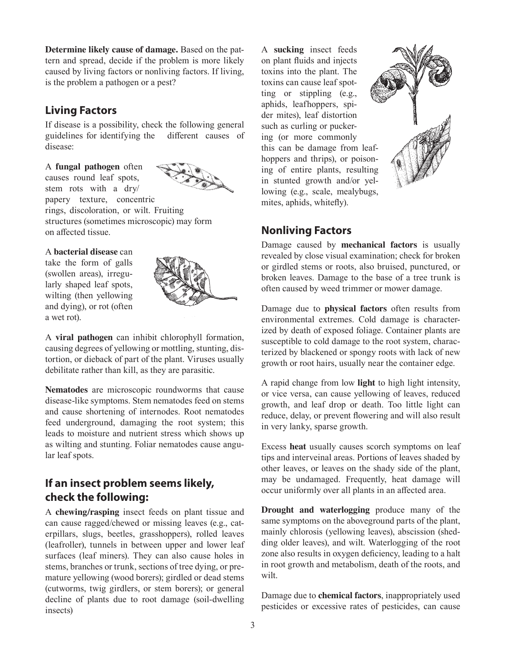**Determine likely cause of damage.** Based on the pattern and spread, decide if the problem is more likely caused by living factors or nonliving factors. If living, is the problem a pathogen or a pest?

#### **Living Factors**

If disease is a possibility, check the following general guidelines for identifying the different causes of disease:

A **fungal pathogen** often causes round leaf spots,



stem rots with a dry/ papery texture, concentric rings, discoloration, or wilt. Fruiting structures (sometimes microscopic) may form on affected tissue.

#### A **bacterial disease** can

take the form of galls (swollen areas), irregularly shaped leaf spots, wilting (then yellowing and dying), or rot (often a wet rot).



A **viral pathogen** can inhibit chlorophyll formation, causing degrees of yellowing or mottling, stunting, distortion, or dieback of part of the plant. Viruses usually debilitate rather than kill, as they are parasitic.

**Nematodes** are microscopic roundworms that cause disease-like symptoms. Stem nematodes feed on stems and cause shortening of internodes. Root nematodes feed underground, damaging the root system; this leads to moisture and nutrient stress which shows up as wilting and stunting. Foliar nematodes cause angular leaf spots.

### **If an insect problem seems likely, check the following:**

A **chewing/rasping** insect feeds on plant tissue and can cause ragged/chewed or missing leaves (e.g., caterpillars, slugs, beetles, grasshoppers), rolled leaves (leafroller), tunnels in between upper and lower leaf surfaces (leaf miners). They can also cause holes in stems, branches or trunk, sections of tree dying, or premature yellowing (wood borers); girdled or dead stems (cutworms, twig girdlers, or stem borers); or general decline of plants due to root damage (soil-dwelling insects)

A **sucking** insect feeds on plant fluids and injects toxins into the plant. The toxins can cause leaf spotting or stippling (e.g., aphids, leafhoppers, spider mites), leaf distortion such as curling or puckering (or more commonly this can be damage from leafhoppers and thrips), or poisoning of entire plants, resulting in stunted growth and/or yellowing (e.g., scale, mealybugs, mites, aphids, whitefly).



#### **Nonliving Factors**

Damage caused by **mechanical factors** is usually revealed by close visual examination; check for broken or girdled stems or roots, also bruised, punctured, or broken leaves. Damage to the base of a tree trunk is often caused by weed trimmer or mower damage.

Damage due to **physical factors** often results from environmental extremes. Cold damage is characterized by death of exposed foliage. Container plants are susceptible to cold damage to the root system, characterized by blackened or spongy roots with lack of new growth or root hairs, usually near the container edge.

A rapid change from low **light** to high light intensity, or vice versa, can cause yellowing of leaves, reduced growth, and leaf drop or death. Too little light can reduce, delay, or prevent flowering and will also result in very lanky, sparse growth.

Excess **heat** usually causes scorch symptoms on leaf tips and interveinal areas. Portions of leaves shaded by other leaves, or leaves on the shady side of the plant, may be undamaged. Frequently, heat damage will occur uniformly over all plants in an affected area.

**Drought and waterlogging** produce many of the same symptoms on the aboveground parts of the plant, mainly chlorosis (yellowing leaves), abscission (shedding older leaves), and wilt. Waterlogging of the root zone also results in oxygen deficiency, leading to a halt in root growth and metabolism, death of the roots, and wilt.

Damage due to **chemical factors**, inappropriately used pesticides or excessive rates of pesticides, can cause